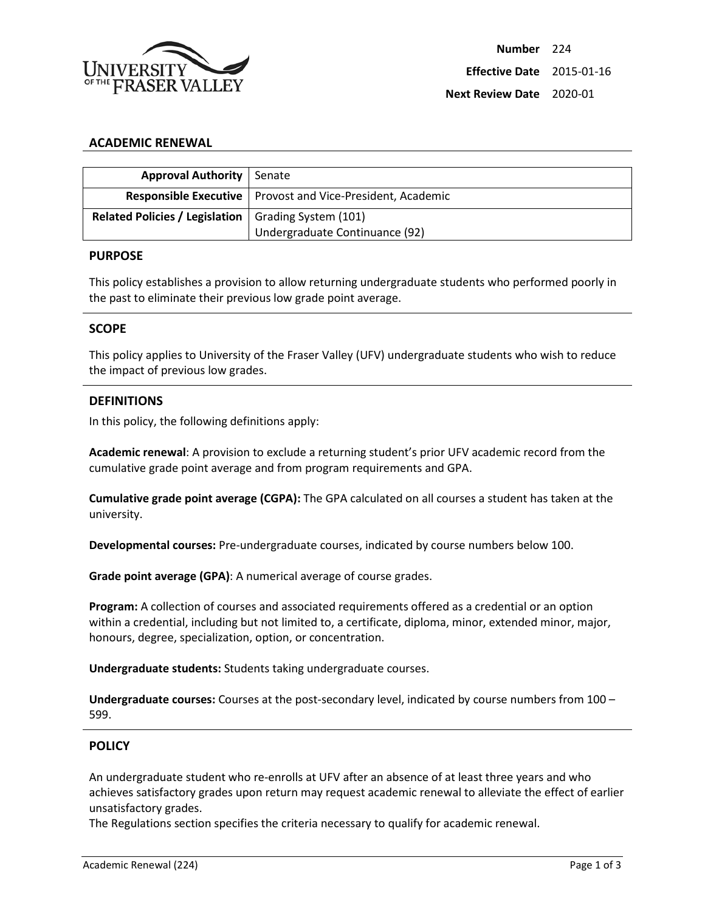

### **ACADEMIC RENEWAL**

| <b>Approval Authority   Senate</b>                    |                                                                     |
|-------------------------------------------------------|---------------------------------------------------------------------|
|                                                       |                                                                     |
|                                                       | <b>Responsible Executive</b>   Provost and Vice-President, Academic |
| Related Policies / Legislation   Grading System (101) |                                                                     |
|                                                       | Undergraduate Continuance (92)                                      |

#### **PURPOSE**

This policy establishes a provision to allow returning undergraduate students who performed poorly in the past to eliminate their previous low grade point average.

### **SCOPE**

This policy applies to University of the Fraser Valley (UFV) undergraduate students who wish to reduce the impact of previous low grades.

### **DEFINITIONS**

In this policy, the following definitions apply:

**Academic renewal**: A provision to exclude a returning student's prior UFV academic record from the cumulative grade point average and from program requirements and GPA.

**Cumulative grade point average (CGPA):** The GPA calculated on all courses a student has taken at the university.

**Developmental courses:** Pre-undergraduate courses, indicated by course numbers below 100.

**Grade point average (GPA)**: A numerical average of course grades.

**Program:** A collection of courses and associated requirements offered as a credential or an option within a credential, including but not limited to, a certificate, diploma, minor, extended minor, major, honours, degree, specialization, option, or concentration.

**Undergraduate students:** Students taking undergraduate courses.

**Undergraduate courses:** Courses at the post-secondary level, indicated by course numbers from 100 – 599.

### **POLICY**

An undergraduate student who re-enrolls at UFV after an absence of at least three years and who achieves satisfactory grades upon return may request academic renewal to alleviate the effect of earlier unsatisfactory grades.

The Regulations section specifies the criteria necessary to qualify for academic renewal.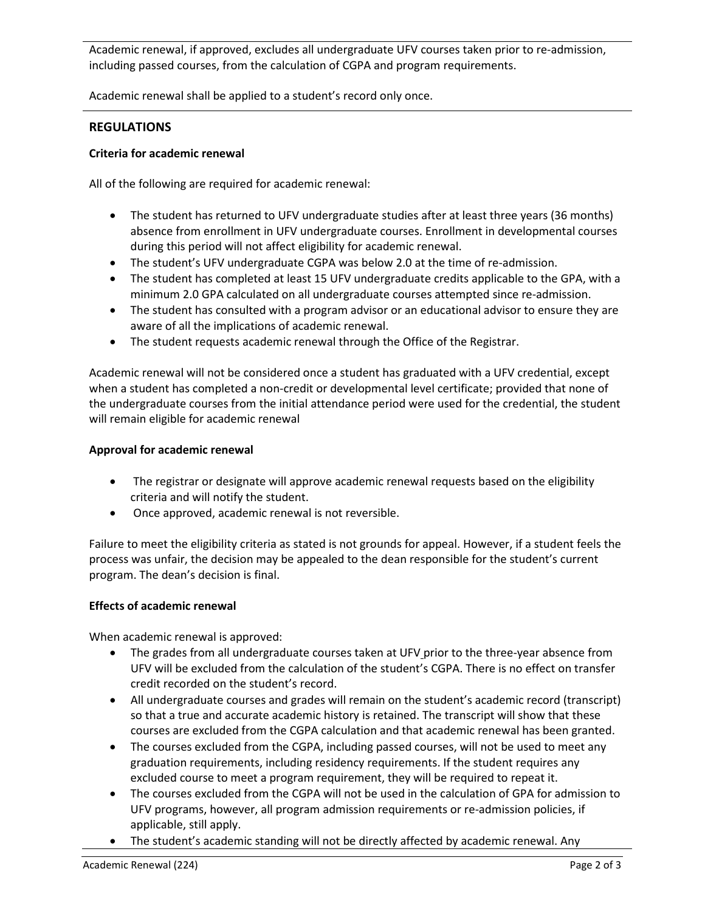Academic renewal, if approved, excludes all undergraduate UFV courses taken prior to re-admission, including passed courses, from the calculation of CGPA and program requirements.

Academic renewal shall be applied to a student's record only once.

# **REGULATIONS**

## **Criteria for academic renewal**

All of the following are required for academic renewal:

- The student has returned to UFV undergraduate studies after at least three years (36 months) absence from enrollment in UFV undergraduate courses. Enrollment in developmental courses during this period will not affect eligibility for academic renewal.
- The student's UFV undergraduate CGPA was below 2.0 at the time of re-admission.
- The student has completed at least 15 UFV undergraduate credits applicable to the GPA, with a minimum 2.0 GPA calculated on all undergraduate courses attempted since re-admission.
- The student has consulted with a program advisor or an educational advisor to ensure they are aware of all the implications of academic renewal.
- The student requests academic renewal through the Office of the Registrar.

Academic renewal will not be considered once a student has graduated with a UFV credential, except when a student has completed a non-credit or developmental level certificate; provided that none of the undergraduate courses from the initial attendance period were used for the credential, the student will remain eligible for academic renewal

## **Approval for academic renewal**

- The registrar or designate will approve academic renewal requests based on the eligibility criteria and will notify the student.
- Once approved, academic renewal is not reversible.

Failure to meet the eligibility criteria as stated is not grounds for appeal. However, if a student feels the process was unfair, the decision may be appealed to the dean responsible for the student's current program. The dean's decision is final.

## **Effects of academic renewal**

When academic renewal is approved:

- The grades from all undergraduate courses taken at UFV prior to the three-year absence from UFV will be excluded from the calculation of the student's CGPA. There is no effect on transfer credit recorded on the student's record.
- All undergraduate courses and grades will remain on the student's academic record (transcript) so that a true and accurate academic history is retained. The transcript will show that these courses are excluded from the CGPA calculation and that academic renewal has been granted.
- The courses excluded from the CGPA, including passed courses, will not be used to meet any graduation requirements, including residency requirements. If the student requires any excluded course to meet a program requirement, they will be required to repeat it.
- The courses excluded from the CGPA will not be used in the calculation of GPA for admission to UFV programs, however, all program admission requirements or re-admission policies, if applicable, still apply.
- The student's academic standing will not be directly affected by academic renewal. Any